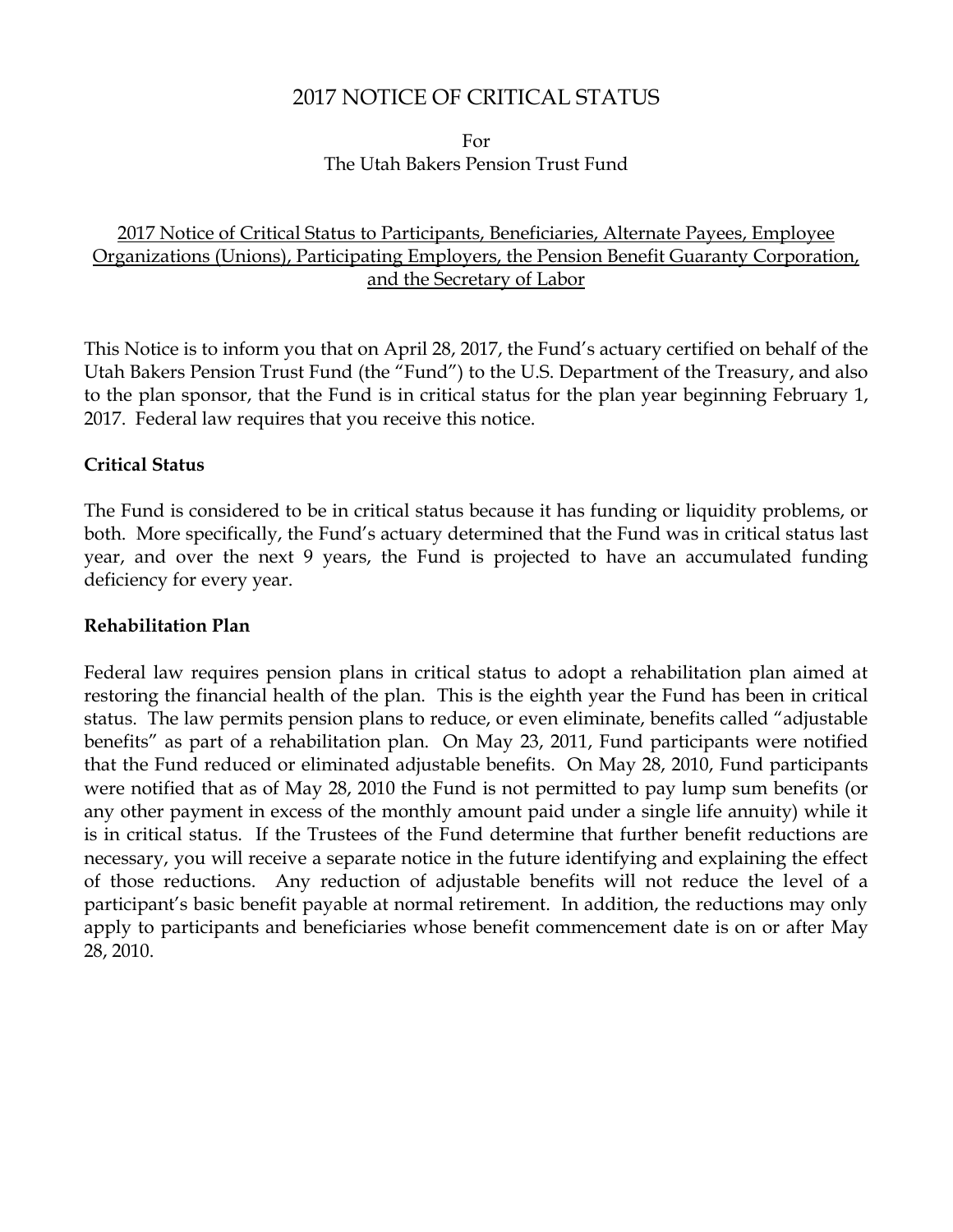# 2017 NOTICE OF CRITICAL STATUS

For The Utah Bakers Pension Trust Fund

# 2017 Notice of Critical Status to Participants, Beneficiaries, Alternate Payees, Employee Organizations (Unions), Participating Employers, the Pension Benefit Guaranty Corporation, and the Secretary of Labor

This Notice is to inform you that on April 28, 2017, the Fund's actuary certified on behalf of the Utah Bakers Pension Trust Fund (the "Fund") to the U.S. Department of the Treasury, and also to the plan sponsor, that the Fund is in critical status for the plan year beginning February 1, 2017. Federal law requires that you receive this notice.

#### **Critical Status**

The Fund is considered to be in critical status because it has funding or liquidity problems, or both. More specifically, the Fund's actuary determined that the Fund was in critical status last year, and over the next 9 years, the Fund is projected to have an accumulated funding deficiency for every year.

#### **Rehabilitation Plan**

Federal law requires pension plans in critical status to adopt a rehabilitation plan aimed at restoring the financial health of the plan. This is the eighth year the Fund has been in critical status. The law permits pension plans to reduce, or even eliminate, benefits called "adjustable benefits" as part of a rehabilitation plan. On May 23, 2011, Fund participants were notified that the Fund reduced or eliminated adjustable benefits. On May 28, 2010, Fund participants were notified that as of May 28, 2010 the Fund is not permitted to pay lump sum benefits (or any other payment in excess of the monthly amount paid under a single life annuity) while it is in critical status. If the Trustees of the Fund determine that further benefit reductions are necessary, you will receive a separate notice in the future identifying and explaining the effect of those reductions. Any reduction of adjustable benefits will not reduce the level of a participant's basic benefit payable at normal retirement. In addition, the reductions may only apply to participants and beneficiaries whose benefit commencement date is on or after May 28, 2010.